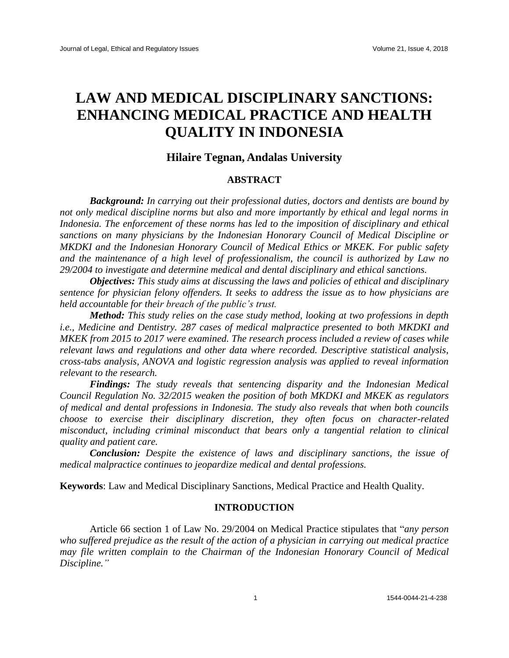# **LAW AND MEDICAL DISCIPLINARY SANCTIONS: ENHANCING MEDICAL PRACTICE AND HEALTH QUALITY IN INDONESIA**

## **Hilaire Tegnan, Andalas University**

## **ABSTRACT**

*Background: In carrying out their professional duties, doctors and dentists are bound by not only medical discipline norms but also and more importantly by ethical and legal norms in Indonesia. The enforcement of these norms has led to the imposition of disciplinary and ethical sanctions on many physicians by the Indonesian Honorary Council of Medical Discipline or MKDKI and the Indonesian Honorary Council of Medical Ethics or MKEK. For public safety and the maintenance of a high level of professionalism, the council is authorized by Law no 29/2004 to investigate and determine medical and dental disciplinary and ethical sanctions.*

*Objectives: This study aims at discussing the laws and policies of ethical and disciplinary sentence for physician felony offenders. It seeks to address the issue as to how physicians are held accountable for their breach of the public's trust.*

*Method: This study relies on the case study method, looking at two professions in depth i.e., Medicine and Dentistry. 287 cases of medical malpractice presented to both MKDKI and MKEK from 2015 to 2017 were examined. The research process included a review of cases while relevant laws and regulations and other data where recorded. Descriptive statistical analysis, cross-tabs analysis, ANOVA and logistic regression analysis was applied to reveal information relevant to the research.*

*Findings: The study reveals that sentencing disparity and the Indonesian Medical Council Regulation No. 32/2015 weaken the position of both MKDKI and MKEK as regulators of medical and dental professions in Indonesia. The study also reveals that when both councils choose to exercise their disciplinary discretion, they often focus on character-related misconduct, including criminal misconduct that bears only a tangential relation to clinical quality and patient care.*

*Conclusion: Despite the existence of laws and disciplinary sanctions, the issue of medical malpractice continues to jeopardize medical and dental professions.*

**Keywords**: Law and Medical Disciplinary Sanctions, Medical Practice and Health Quality.

## **INTRODUCTION**

Article 66 section 1 of Law No. 29/2004 on Medical Practice stipulates that "*any person who suffered prejudice as the result of the action of a physician in carrying out medical practice may file written complain to the Chairman of the Indonesian Honorary Council of Medical Discipline."*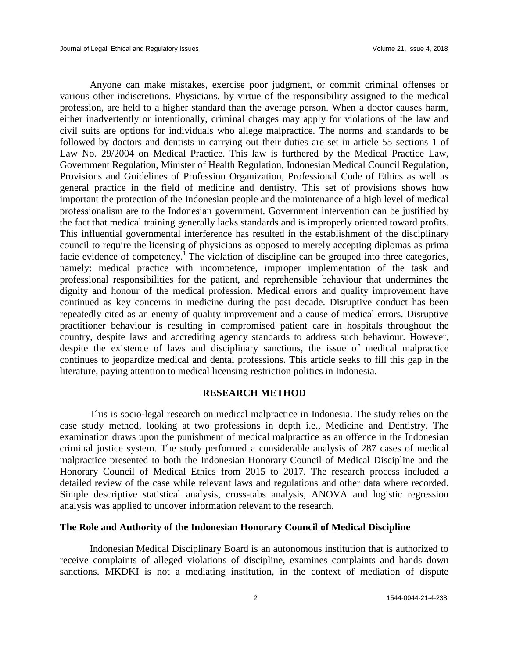Anyone can make mistakes, exercise poor judgment, or commit criminal offenses or various other indiscretions. Physicians, by virtue of the responsibility assigned to the medical profession, are held to a higher standard than the average person. When a doctor causes harm, either inadvertently or intentionally, criminal charges may apply for violations of the law and civil suits are options for individuals who allege malpractice. The norms and standards to be followed by doctors and dentists in carrying out their duties are set in article 55 sections 1 of Law No. 29/2004 on Medical Practice. This law is furthered by the Medical Practice Law, Government Regulation, Minister of Health Regulation, Indonesian Medical Council Regulation, Provisions and Guidelines of Profession Organization, Professional Code of Ethics as well as general practice in the field of medicine and dentistry. This set of provisions shows how important the protection of the Indonesian people and the maintenance of a high level of medical professionalism are to the Indonesian government. Government intervention can be justified by the fact that medical training generally lacks standards and is improperly oriented toward profits. This influential governmental interference has resulted in the establishment of the disciplinary council to require the licensing of physicians as opposed to merely accepting diplomas as prima facie evidence of competency.<sup>1</sup> The violation of discipline can be grouped into three categories, namely: medical practice with incompetence, improper implementation of the task and professional responsibilities for the patient, and reprehensible behaviour that undermines the dignity and honour of the medical profession. Medical errors and quality improvement have continued as key concerns in medicine during the past decade. Disruptive conduct has been repeatedly cited as an enemy of quality improvement and a cause of medical errors. Disruptive practitioner behaviour is resulting in compromised patient care in hospitals throughout the country, despite laws and accrediting agency standards to address such behaviour. However, despite the existence of laws and disciplinary sanctions, the issue of medical malpractice continues to jeopardize medical and dental professions. This article seeks to fill this gap in the literature, paying attention to medical licensing restriction politics in Indonesia.

#### **RESEARCH METHOD**

This is socio-legal research on medical malpractice in Indonesia. The study relies on the case study method, looking at two professions in depth i.e., Medicine and Dentistry. The examination draws upon the punishment of medical malpractice as an offence in the Indonesian criminal justice system. The study performed a considerable analysis of 287 cases of medical malpractice presented to both the Indonesian Honorary Council of Medical Discipline and the Honorary Council of Medical Ethics from 2015 to 2017. The research process included a detailed review of the case while relevant laws and regulations and other data where recorded. Simple descriptive statistical analysis, cross-tabs analysis, ANOVA and logistic regression analysis was applied to uncover information relevant to the research.

## **The Role and Authority of the Indonesian Honorary Council of Medical Discipline**

Indonesian Medical Disciplinary Board is an autonomous institution that is authorized to receive complaints of alleged violations of discipline, examines complaints and hands down sanctions. MKDKI is not a mediating institution, in the context of mediation of dispute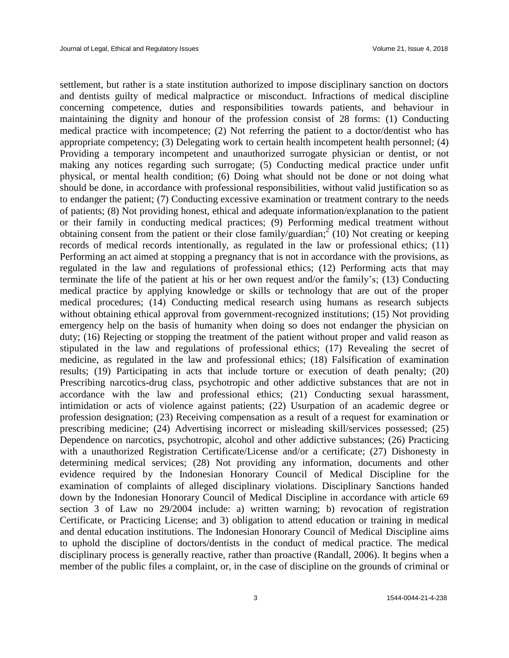settlement, but rather is a state institution authorized to impose disciplinary sanction on doctors and dentists guilty of medical malpractice or misconduct. Infractions of medical discipline concerning competence, duties and responsibilities towards patients, and behaviour in maintaining the dignity and honour of the profession consist of 28 forms: (1) Conducting medical practice with incompetence; (2) Not referring the patient to a doctor/dentist who has appropriate competency; (3) Delegating work to certain health incompetent health personnel; (4) Providing a temporary incompetent and unauthorized surrogate physician or dentist, or not making any notices regarding such surrogate; (5) Conducting medical practice under unfit physical, or mental health condition; (6) Doing what should not be done or not doing what should be done, in accordance with professional responsibilities, without valid justification so as to endanger the patient; (7) Conducting excessive examination or treatment contrary to the needs of patients; (8) Not providing honest, ethical and adequate information/explanation to the patient or their family in conducting medical practices; (9) Performing medical treatment without obtaining consent from the patient or their close family/guardian;  $\sum_{n=1}^{\infty} (10)$  Not creating or keeping records of medical records intentionally, as regulated in the law or professional ethics; (11) Performing an act aimed at stopping a pregnancy that is not in accordance with the provisions, as regulated in the law and regulations of professional ethics; (12) Performing acts that may terminate the life of the patient at his or her own request and/or the family's; (13) Conducting medical practice by applying knowledge or skills or technology that are out of the proper medical procedures; (14) Conducting medical research using humans as research subjects without obtaining ethical approval from government-recognized institutions; (15) Not providing emergency help on the basis of humanity when doing so does not endanger the physician on duty; (16) Rejecting or stopping the treatment of the patient without proper and valid reason as stipulated in the law and regulations of professional ethics; (17) Revealing the secret of medicine, as regulated in the law and professional ethics; (18) Falsification of examination results; (19) Participating in acts that include torture or execution of death penalty; (20) Prescribing narcotics-drug class, psychotropic and other addictive substances that are not in accordance with the law and professional ethics; (21) Conducting sexual harassment, intimidation or acts of violence against patients; (22) Usurpation of an academic degree or profession designation; (23) Receiving compensation as a result of a request for examination or prescribing medicine; (24) Advertising incorrect or misleading skill/services possessed; (25) Dependence on narcotics, psychotropic, alcohol and other addictive substances; (26) Practicing with a unauthorized Registration Certificate/License and/or a certificate; (27) Dishonesty in determining medical services; (28) Not providing any information, documents and other evidence required by the Indonesian Honorary Council of Medical Discipline for the examination of complaints of alleged disciplinary violations. Disciplinary Sanctions handed down by the Indonesian Honorary Council of Medical Discipline in accordance with article 69 section 3 of Law no 29/2004 include: a) written warning; b) revocation of registration Certificate, or Practicing License; and 3) obligation to attend education or training in medical and dental education institutions. The Indonesian Honorary Council of Medical Discipline aims to uphold the discipline of doctors/dentists in the conduct of medical practice. The medical disciplinary process is generally reactive, rather than proactive (Randall, 2006). It begins when a member of the public files a complaint, or, in the case of discipline on the grounds of criminal or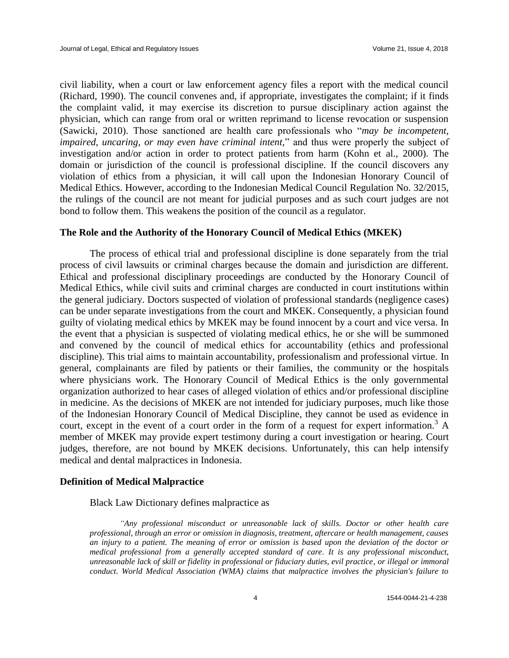civil liability, when a court or law enforcement agency files a report with the medical council (Richard, 1990). The council convenes and, if appropriate, investigates the complaint; if it finds the complaint valid, it may exercise its discretion to pursue disciplinary action against the physician, which can range from oral or written reprimand to license revocation or suspension (Sawicki, 2010). Those sanctioned are health care professionals who "*may be incompetent, impaired, uncaring, or may even have criminal intent,*" and thus were properly the subject of investigation and/or action in order to protect patients from harm (Kohn et al., 2000). The domain or jurisdiction of the council is professional discipline. If the council discovers any violation of ethics from a physician, it will call upon the Indonesian Honorary Council of Medical Ethics. However, according to the Indonesian Medical Council Regulation No. 32/2015, the rulings of the council are not meant for judicial purposes and as such court judges are not bond to follow them. This weakens the position of the council as a regulator.

#### **The Role and the Authority of the Honorary Council of Medical Ethics (MKEK)**

The process of ethical trial and professional discipline is done separately from the trial process of civil lawsuits or criminal charges because the domain and jurisdiction are different. Ethical and professional disciplinary proceedings are conducted by the Honorary Council of Medical Ethics, while civil suits and criminal charges are conducted in court institutions within the general judiciary. Doctors suspected of violation of professional standards (negligence cases) can be under separate investigations from the court and MKEK. Consequently, a physician found guilty of violating medical ethics by MKEK may be found innocent by a court and vice versa. In the event that a physician is suspected of violating medical ethics, he or she will be summoned and convened by the council of medical ethics for accountability (ethics and professional discipline). This trial aims to maintain accountability, professionalism and professional virtue. In general, complainants are filed by patients or their families, the community or the hospitals where physicians work. The Honorary Council of Medical Ethics is the only governmental organization authorized to hear cases of alleged violation of ethics and/or professional discipline in medicine. As the decisions of MKEK are not intended for judiciary purposes, much like those of the Indonesian Honorary Council of Medical Discipline, they cannot be used as evidence in court, except in the event of a court order in the form of a request for expert information.<sup>3</sup> A member of MKEK may provide expert testimony during a court investigation or hearing. Court judges, therefore, are not bound by MKEK decisions. Unfortunately, this can help intensify medical and dental malpractices in Indonesia.

#### **Definition of Medical Malpractice**

Black Law Dictionary defines malpractice as

*"Any professional misconduct or unreasonable lack of skills. Doctor or other health care professional, through an error or omission in diagnosis, treatment, aftercare or health management, causes an injury to a patient. The meaning of error or omission is based upon the deviation of the doctor or medical professional from a generally accepted standard of care. It is any professional misconduct, unreasonable lack of skill or fidelity in professional or fiduciary duties, evil practice, or illegal or immoral conduct. World Medical Association (WMA) claims that malpractice involves the physician's failure to*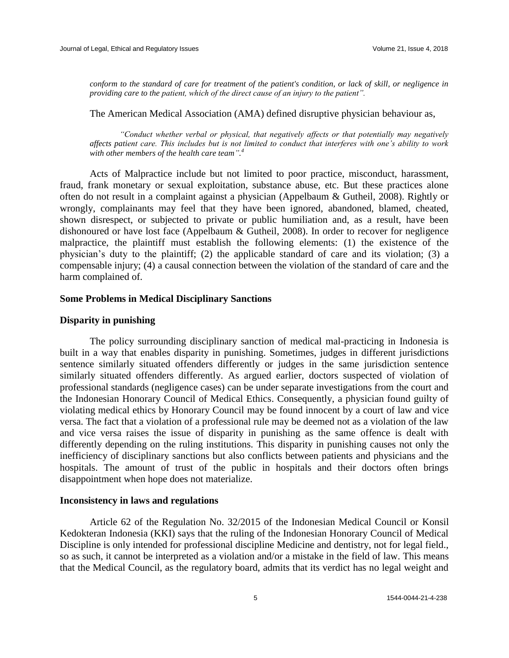*conform to the standard of care for treatment of the patient's condition, or lack of skill, or negligence in providing care to the patient, which of the direct cause of an injury to the patient".*

The American Medical Association (AMA) defined disruptive physician behaviour as,

*"Conduct whether verbal or physical, that negatively affects or that potentially may negatively affects patient care. This includes but is not limited to conduct that interferes with one's ability to work with other members of the health care team". 4*

Acts of Malpractice include but not limited to poor practice, misconduct, harassment, fraud, frank monetary or sexual exploitation, substance abuse, etc. But these practices alone often do not result in a complaint against a physician (Appelbaum & Gutheil, 2008). Rightly or wrongly, complainants may feel that they have been ignored, abandoned, blamed, cheated, shown disrespect, or subjected to private or public humiliation and, as a result, have been dishonoured or have lost face (Appelbaum & Gutheil, 2008). In order to recover for negligence malpractice, the plaintiff must establish the following elements: (1) the existence of the physician's duty to the plaintiff; (2) the applicable standard of care and its violation; (3) a compensable injury; (4) a causal connection between the violation of the standard of care and the harm complained of.

## **Some Problems in Medical Disciplinary Sanctions**

#### **Disparity in punishing**

The policy surrounding disciplinary sanction of medical mal-practicing in Indonesia is built in a way that enables disparity in punishing. Sometimes, judges in different jurisdictions sentence similarly situated offenders differently or judges in the same jurisdiction sentence similarly situated offenders differently. As argued earlier, doctors suspected of violation of professional standards (negligence cases) can be under separate investigations from the court and the Indonesian Honorary Council of Medical Ethics. Consequently, a physician found guilty of violating medical ethics by Honorary Council may be found innocent by a court of law and vice versa. The fact that a violation of a professional rule may be deemed not as a violation of the law and vice versa raises the issue of disparity in punishing as the same offence is dealt with differently depending on the ruling institutions. This disparity in punishing causes not only the inefficiency of disciplinary sanctions but also conflicts between patients and physicians and the hospitals. The amount of trust of the public in hospitals and their doctors often brings disappointment when hope does not materialize.

#### **Inconsistency in laws and regulations**

Article 62 of the Regulation No. 32/2015 of the Indonesian Medical Council or Konsil Kedokteran Indonesia (KKI) says that the ruling of the Indonesian Honorary Council of Medical Discipline is only intended for professional discipline Medicine and dentistry, not for legal field., so as such, it cannot be interpreted as a violation and/or a mistake in the field of law. This means that the Medical Council, as the regulatory board, admits that its verdict has no legal weight and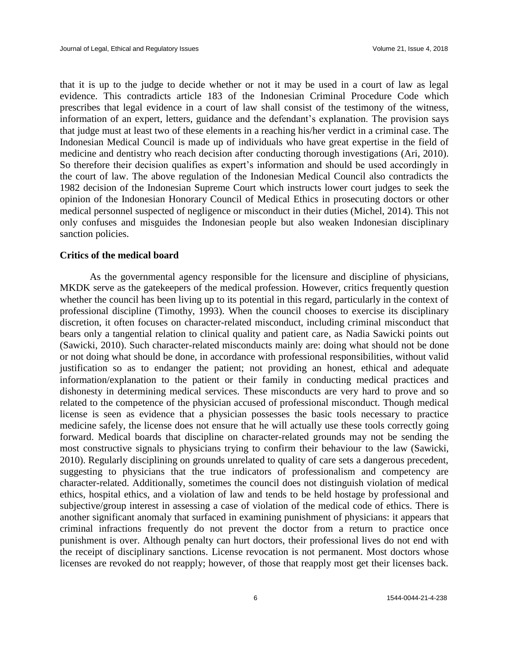that it is up to the judge to decide whether or not it may be used in a court of law as legal evidence. This contradicts article 183 of the Indonesian Criminal Procedure Code which prescribes that legal evidence in a court of law shall consist of the testimony of the witness, information of an expert, letters, guidance and the defendant's explanation. The provision says that judge must at least two of these elements in a reaching his/her verdict in a criminal case. The Indonesian Medical Council is made up of individuals who have great expertise in the field of medicine and dentistry who reach decision after conducting thorough investigations (Ari, 2010). So therefore their decision qualifies as expert's information and should be used accordingly in the court of law. The above regulation of the Indonesian Medical Council also contradicts the 1982 decision of the Indonesian Supreme Court which instructs lower court judges to seek the opinion of the Indonesian Honorary Council of Medical Ethics in prosecuting doctors or other medical personnel suspected of negligence or misconduct in their duties (Michel, 2014). This not only confuses and misguides the Indonesian people but also weaken Indonesian disciplinary sanction policies.

### **Critics of the medical board**

As the governmental agency responsible for the licensure and discipline of physicians, MKDK serve as the gatekeepers of the medical profession. However, critics frequently question whether the council has been living up to its potential in this regard, particularly in the context of professional discipline (Timothy, 1993). When the council chooses to exercise its disciplinary discretion, it often focuses on character-related misconduct, including criminal misconduct that bears only a tangential relation to clinical quality and patient care, as Nadia Sawicki points out (Sawicki, 2010). Such character-related misconducts mainly are: doing what should not be done or not doing what should be done, in accordance with professional responsibilities, without valid justification so as to endanger the patient; not providing an honest, ethical and adequate information/explanation to the patient or their family in conducting medical practices and dishonesty in determining medical services. These misconducts are very hard to prove and so related to the competence of the physician accused of professional misconduct. Though medical license is seen as evidence that a physician possesses the basic tools necessary to practice medicine safely, the license does not ensure that he will actually use these tools correctly going forward. Medical boards that discipline on character-related grounds may not be sending the most constructive signals to physicians trying to confirm their behaviour to the law (Sawicki, 2010). Regularly disciplining on grounds unrelated to quality of care sets a dangerous precedent, suggesting to physicians that the true indicators of professionalism and competency are character-related. Additionally, sometimes the council does not distinguish violation of medical ethics, hospital ethics, and a violation of law and tends to be held hostage by professional and subjective/group interest in assessing a case of violation of the medical code of ethics. There is another significant anomaly that surfaced in examining punishment of physicians: it appears that criminal infractions frequently do not prevent the doctor from a return to practice once punishment is over. Although penalty can hurt doctors, their professional lives do not end with the receipt of disciplinary sanctions. License revocation is not permanent. Most doctors whose licenses are revoked do not reapply; however, of those that reapply most get their licenses back.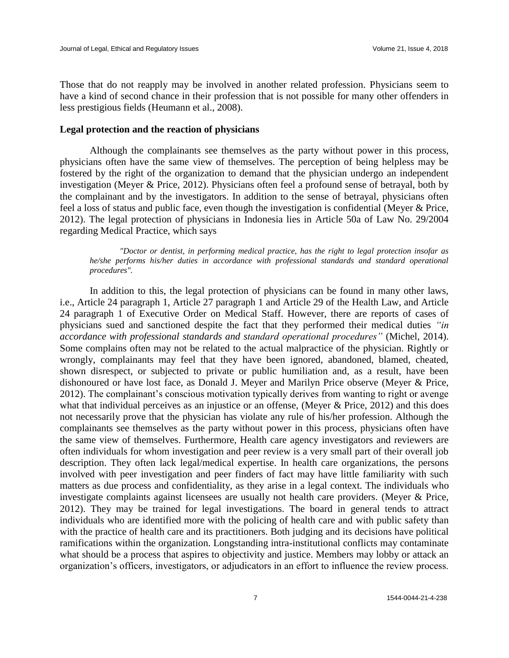Those that do not reapply may be involved in another related profession. Physicians seem to have a kind of second chance in their profession that is not possible for many other offenders in less prestigious fields (Heumann et al., 2008).

#### **Legal protection and the reaction of physicians**

Although the complainants see themselves as the party without power in this process, physicians often have the same view of themselves. The perception of being helpless may be fostered by the right of the organization to demand that the physician undergo an independent investigation (Meyer & Price, 2012). Physicians often feel a profound sense of betrayal, both by the complainant and by the investigators. In addition to the sense of betrayal, physicians often feel a loss of status and public face, even though the investigation is confidential (Meyer & Price, 2012). The legal protection of physicians in Indonesia lies in Article 50a of Law No. 29/2004 regarding Medical Practice, which says

*"Doctor or dentist, in performing medical practice, has the right to legal protection insofar as he/she performs his/her duties in accordance with professional standards and standard operational procedures".* 

In addition to this, the legal protection of physicians can be found in many other laws, i.e., Article 24 paragraph 1, Article 27 paragraph 1 and Article 29 of the Health Law, and Article 24 paragraph 1 of Executive Order on Medical Staff. However, there are reports of cases of physicians sued and sanctioned despite the fact that they performed their medical duties *"in accordance with professional standards and standard operational procedures"* (Michel, 2014). Some complains often may not be related to the actual malpractice of the physician. Rightly or wrongly, complainants may feel that they have been ignored, abandoned, blamed, cheated, shown disrespect, or subjected to private or public humiliation and, as a result, have been dishonoured or have lost face, as Donald J. Meyer and Marilyn Price observe (Meyer & Price, 2012). The complainant's conscious motivation typically derives from wanting to right or avenge what that individual perceives as an injustice or an offense, (Meyer  $\&$  Price, 2012) and this does not necessarily prove that the physician has violate any rule of his/her profession. Although the complainants see themselves as the party without power in this process, physicians often have the same view of themselves. Furthermore, Health care agency investigators and reviewers are often individuals for whom investigation and peer review is a very small part of their overall job description. They often lack legal/medical expertise. In health care organizations, the persons involved with peer investigation and peer finders of fact may have little familiarity with such matters as due process and confidentiality, as they arise in a legal context. The individuals who investigate complaints against licensees are usually not health care providers. (Meyer & Price, 2012). They may be trained for legal investigations. The board in general tends to attract individuals who are identified more with the policing of health care and with public safety than with the practice of health care and its practitioners. Both judging and its decisions have political ramifications within the organization. Longstanding intra-institutional conflicts may contaminate what should be a process that aspires to objectivity and justice. Members may lobby or attack an organization's officers, investigators, or adjudicators in an effort to influence the review process.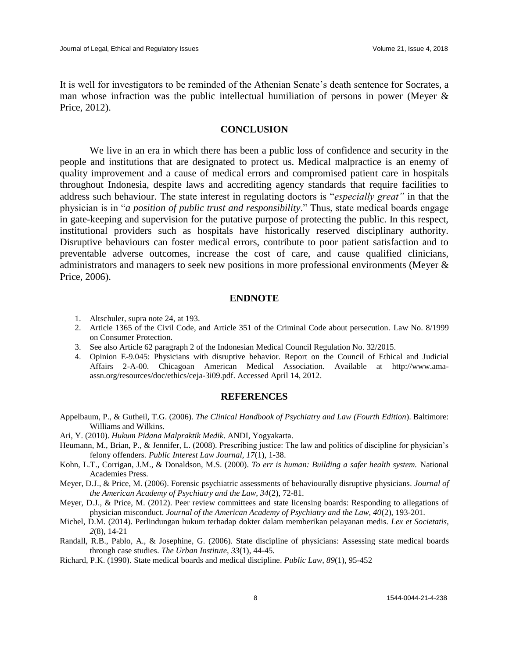It is well for investigators to be reminded of the Athenian Senate's death sentence for Socrates, a man whose infraction was the public intellectual humiliation of persons in power (Meyer & Price, 2012).

### **CONCLUSION**

We live in an era in which there has been a public loss of confidence and security in the people and institutions that are designated to protect us. Medical malpractice is an enemy of quality improvement and a cause of medical errors and compromised patient care in hospitals throughout Indonesia, despite laws and accrediting agency standards that require facilities to address such behaviour. The state interest in regulating doctors is "*especially great"* in that the physician is in "*a position of public trust and responsibility*." Thus, state medical boards engage in gate-keeping and supervision for the putative purpose of protecting the public. In this respect, institutional providers such as hospitals have historically reserved disciplinary authority. Disruptive behaviours can foster medical errors, contribute to poor patient satisfaction and to preventable adverse outcomes, increase the cost of care, and cause qualified clinicians, administrators and managers to seek new positions in more professional environments (Meyer & Price, 2006).

#### **ENDNOTE**

- 1. Altschuler, supra note 24, at 193.
- 2. Article 1365 of the Civil Code, and Article 351 of the Criminal Code about persecution. Law No. 8/1999 on Consumer Protection.
- 3. See also Article 62 paragraph 2 of the Indonesian Medical Council Regulation No. 32/2015.
- 4. Opinion E-9.045: Physicians with disruptive behavior. Report on the Council of Ethical and Judicial Affairs 2-A-00. Chicagoan American Medical Association. Available at http://www.amaassn.org/resources/doc/ethics/ceja-3i09.pdf. Accessed April 14, 2012.

#### **REFERENCES**

- Appelbaum, P., & Gutheil, T.G. (2006). *The Clinical Handbook of Psychiatry and Law (Fourth Edition*). Baltimore: Williams and Wilkins.
- Ari, Y. (2010). *Hukum Pidana Malpraktik Medik*. ANDI, Yogyakarta.
- Heumann, M., Brian, P., & Jennifer, L. (2008). Prescribing justice: The law and politics of discipline for physician's felony offenders*. Public Interest Law Journal, 17*(1), 1-38.
- Kohn, L.T., Corrigan, J.M., & Donaldson, M.S. (2000). *To err is human: Building a safer health system.* National Academies Press.
- Meyer, D.J., & Price, M. (2006). Forensic psychiatric assessments of behaviourally disruptive physicians*. Journal of the American Academy of Psychiatry and the Law, 34*(2), 72-81.
- Meyer, D.J., & Price, M. (2012). Peer review committees and state licensing boards: Responding to allegations of physician misconduct. *Journal of the American Academy of Psychiatry and the Law, 40*(2), 193-201.
- Michel, D.M. (2014). Perlindungan hukum terhadap dokter dalam memberikan pelayanan medis. *Lex et Societatis, 2*(8), 14-21
- Randall, R.B., Pablo, A., & Josephine, G. (2006). State discipline of physicians: Assessing state medical boards through case studies. *The Urban Institute, 33*(1), 44-45.
- Richard, P.K. (1990). State medical boards and medical discipline. *Public Law, 89*(1), 95-452